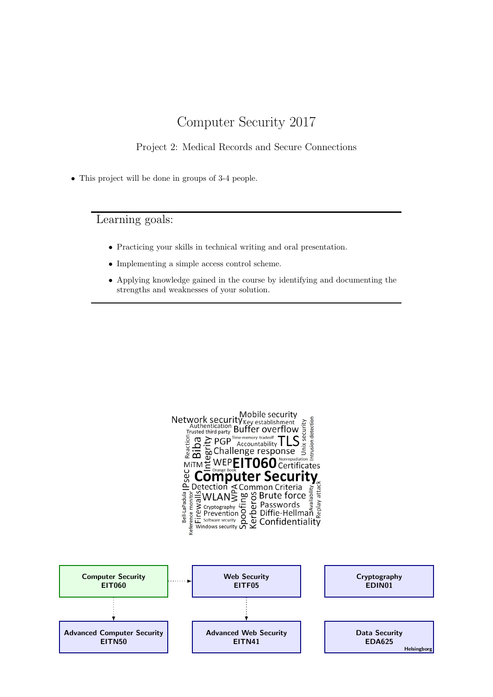# Computer Security 2017

## Project 2: Medical Records and Secure Connections

• This project will be done in groups of 3-4 people.

Learning goals:

- Practicing your skills in technical writing and oral presentation.
- Implementing a simple access control scheme.
- Applying knowledge gained in the course by identifying and documenting the strengths and weaknesses of your solution.

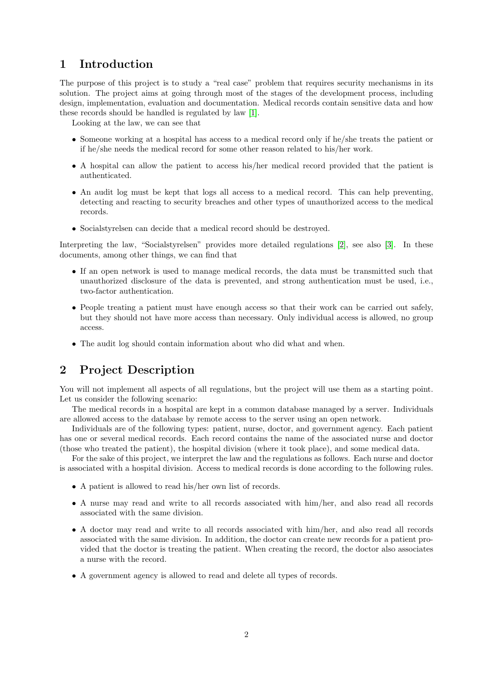# 1 Introduction

The purpose of this project is to study a "real case" problem that requires security mechanisms in its solution. The project aims at going through most of the stages of the development process, including design, implementation, evaluation and documentation. Medical records contain sensitive data and how these records should be handled is regulated by law [\[1\]](#page-6-0).

Looking at the law, we can see that

- Someone working at a hospital has access to a medical record only if he/she treats the patient or if he/she needs the medical record for some other reason related to his/her work.
- A hospital can allow the patient to access his/her medical record provided that the patient is authenticated.
- An audit log must be kept that logs all access to a medical record. This can help preventing, detecting and reacting to security breaches and other types of unauthorized access to the medical records.
- Socialstyrelsen can decide that a medical record should be destroyed.

Interpreting the law, "Socialstyrelsen" provides more detailed regulations [\[2\]](#page-6-1), see also [\[3\]](#page-7-0). In these documents, among other things, we can find that

- If an open network is used to manage medical records, the data must be transmitted such that unauthorized disclosure of the data is prevented, and strong authentication must be used, i.e., two-factor authentication.
- People treating a patient must have enough access so that their work can be carried out safely, but they should not have more access than necessary. Only individual access is allowed, no group access.
- The audit log should contain information about who did what and when.

# 2 Project Description

You will not implement all aspects of all regulations, but the project will use them as a starting point. Let us consider the following scenario:

The medical records in a hospital are kept in a common database managed by a server. Individuals are allowed access to the database by remote access to the server using an open network.

Individuals are of the following types: patient, nurse, doctor, and government agency. Each patient has one or several medical records. Each record contains the name of the associated nurse and doctor (those who treated the patient), the hospital division (where it took place), and some medical data.

For the sake of this project, we interpret the law and the regulations as follows. Each nurse and doctor is associated with a hospital division. Access to medical records is done according to the following rules.

- A patient is allowed to read his/her own list of records.
- A nurse may read and write to all records associated with him/her, and also read all records associated with the same division.
- A doctor may read and write to all records associated with him/her, and also read all records associated with the same division. In addition, the doctor can create new records for a patient provided that the doctor is treating the patient. When creating the record, the doctor also associates a nurse with the record.
- A government agency is allowed to read and delete all types of records.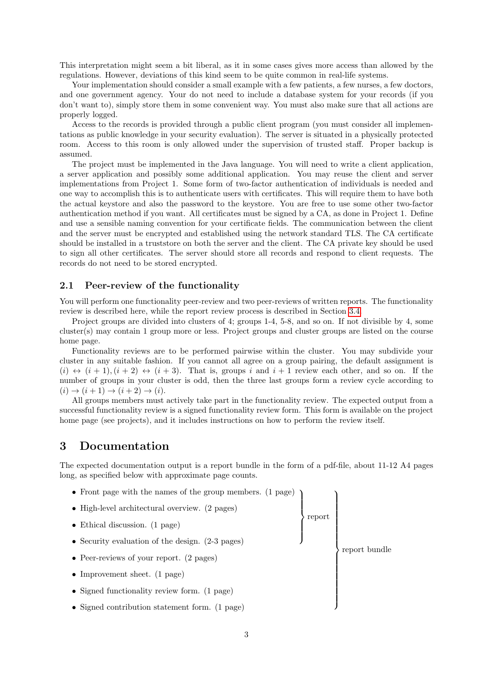This interpretation might seem a bit liberal, as it in some cases gives more access than allowed by the regulations. However, deviations of this kind seem to be quite common in real-life systems.

Your implementation should consider a small example with a few patients, a few nurses, a few doctors, and one government agency. Your do not need to include a database system for your records (if you don't want to), simply store them in some convenient way. You must also make sure that all actions are properly logged.

Access to the records is provided through a public client program (you must consider all implementations as public knowledge in your security evaluation). The server is situated in a physically protected room. Access to this room is only allowed under the supervision of trusted staff. Proper backup is assumed.

The project must be implemented in the Java language. You will need to write a client application, a server application and possibly some additional application. You may reuse the client and server implementations from Project 1. Some form of two-factor authentication of individuals is needed and one way to accomplish this is to authenticate users with certificates. This will require them to have both the actual keystore and also the password to the keystore. You are free to use some other two-factor authentication method if you want. All certificates must be signed by a CA, as done in Project 1. Define and use a sensible naming convention for your certificate fields. The communication between the client and the server must be encrypted and established using the network standard TLS. The CA certificate should be installed in a truststore on both the server and the client. The CA private key should be used to sign all other certificates. The server should store all records and respond to client requests. The records do not need to be stored encrypted.

### 2.1 Peer-review of the functionality

You will perform one functionality peer-review and two peer-reviews of written reports. The functionality review is described here, while the report review process is described in Section [3.4.](#page-4-0)

Project groups are divided into clusters of 4; groups 1-4, 5-8, and so on. If not divisible by 4, some cluster(s) may contain 1 group more or less. Project groups and cluster groups are listed on the course home page.

Functionality reviews are to be performed pairwise within the cluster. You may subdivide your cluster in any suitable fashion. If you cannot all agree on a group pairing, the default assignment is  $(i) \leftrightarrow (i+1), (i+2) \leftrightarrow (i+3)$ . That is, groups i and  $i+1$  review each other, and so on. If the number of groups in your cluster is odd, then the three last groups form a review cycle according to  $(i) \rightarrow (i+1) \rightarrow (i+2) \rightarrow (i).$ 

All groups members must actively take part in the functionality review. The expected output from a successful functionality review is a signed functionality review form. This form is available on the project home page (see projects), and it includes instructions on how to perform the review itself.

### 3 Documentation

The expected documentation output is a report bundle in the form of a pdf-file, about 11-12 A4 pages long, as specified below with approximate page counts.

• Front page with the names of the group members. (1 page)  $\overline{\mathcal{L}}$  $\int$ report  $\lambda$  $\begin{array}{c} \hline \end{array}$  $\overline{\phantom{a}}$ report bundle • High-level architectural overview. (2 pages) • Ethical discussion. (1 page) • Security evaluation of the design.  $(2-3)$  pages) • Peer-reviews of your report. (2 pages) • Improvement sheet. (1 page) • Signed functionality review form. (1 page) • Signed contribution statement form. (1 page)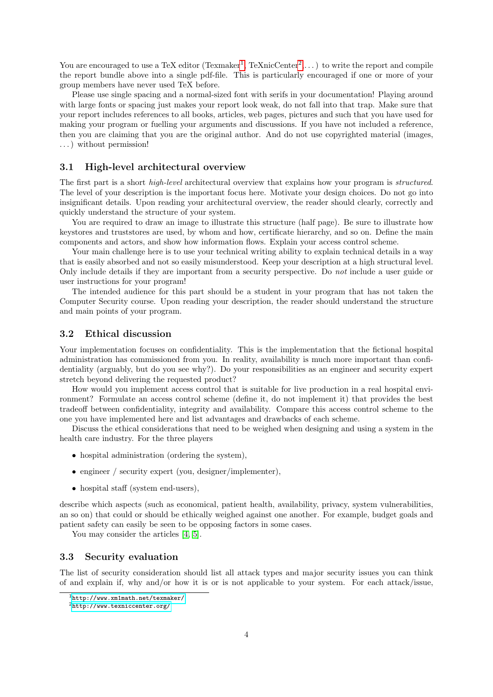You are encouraged to use a TeX editor (Texmaker<sup>[1](#page-3-0)</sup>, TeXnicCenter<sup>[2](#page-3-1)</sup>,...) to write the report and compile the report bundle above into a single pdf-file. This is particularly encouraged if one or more of your group members have never used TeX before.

Please use single spacing and a normal-sized font with serifs in your documentation! Playing around with large fonts or spacing just makes your report look weak, do not fall into that trap. Make sure that your report includes references to all books, articles, web pages, pictures and such that you have used for making your program or fuelling your arguments and discussions. If you have not included a reference, then you are claiming that you are the original author. And do not use copyrighted material (images, . . . ) without permission!

#### 3.1 High-level architectural overview

The first part is a short *high-level* architectural overview that explains how your program is *structured*. The level of your description is the important focus here. Motivate your design choices. Do not go into insignificant details. Upon reading your architectural overview, the reader should clearly, correctly and quickly understand the structure of your system.

You are required to draw an image to illustrate this structure (half page). Be sure to illustrate how keystores and truststores are used, by whom and how, certificate hierarchy, and so on. Define the main components and actors, and show how information flows. Explain your access control scheme.

Your main challenge here is to use your technical writing ability to explain technical details in a way that is easily absorbed and not so easily misunderstood. Keep your description at a high structural level. Only include details if they are important from a security perspective. Do not include a user guide or user instructions for your program!

The intended audience for this part should be a student in your program that has not taken the Computer Security course. Upon reading your description, the reader should understand the structure and main points of your program.

#### 3.2 Ethical discussion

Your implementation focuses on confidentiality. This is the implementation that the fictional hospital administration has commissioned from you. In reality, availability is much more important than confidentiality (arguably, but do you see why?). Do your responsibilities as an engineer and security expert stretch beyond delivering the requested product?

How would you implement access control that is suitable for live production in a real hospital environment? Formulate an access control scheme (define it, do not implement it) that provides the best tradeoff between confidentiality, integrity and availability. Compare this access control scheme to the one you have implemented here and list advantages and drawbacks of each scheme.

Discuss the ethical considerations that need to be weighed when designing and using a system in the health care industry. For the three players

- hospital administration (ordering the system),
- engineer / security expert (you, designer/implementer),
- hospital staff (system end-users),

describe which aspects (such as economical, patient health, availability, privacy, system vulnerabilities, an so on) that could or should be ethically weighed against one another. For example, budget goals and patient safety can easily be seen to be opposing factors in some cases.

You may consider the articles [\[4,](#page-7-1) [5\]](#page-7-2).

#### 3.3 Security evaluation

The list of security consideration should list all attack types and major security issues you can think of and explain if, why and/or how it is or is not applicable to your system. For each attack/issue,

<span id="page-3-0"></span><sup>1</sup><http://www.xm1math.net/texmaker/>

<span id="page-3-1"></span><sup>2</sup><http://www.texniccenter.org/>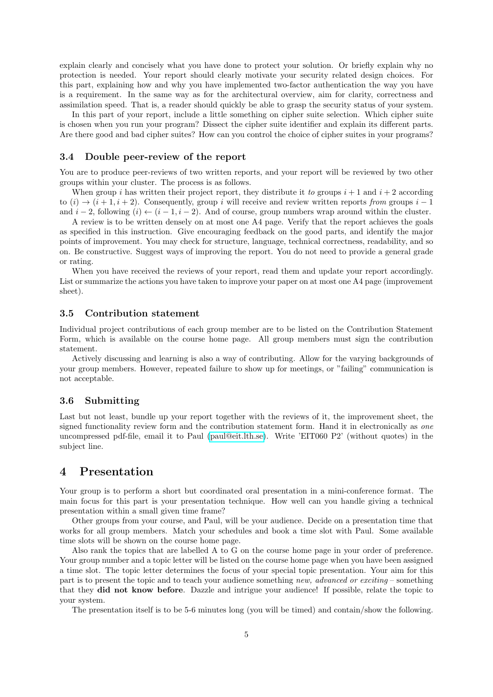explain clearly and concisely what you have done to protect your solution. Or briefly explain why no protection is needed. Your report should clearly motivate your security related design choices. For this part, explaining how and why you have implemented two-factor authentication the way you have is a requirement. In the same way as for the architectural overview, aim for clarity, correctness and assimilation speed. That is, a reader should quickly be able to grasp the security status of your system.

In this part of your report, include a little something on cipher suite selection. Which cipher suite is chosen when you run your program? Dissect the cipher suite identifier and explain its different parts. Are there good and bad cipher suites? How can you control the choice of cipher suites in your programs?

#### <span id="page-4-0"></span>3.4 Double peer-review of the report

You are to produce peer-reviews of two written reports, and your report will be reviewed by two other groups within your cluster. The process is as follows.

When group i has written their project report, they distribute it to groups  $i + 1$  and  $i + 2$  according to  $(i) \rightarrow (i+1, i+2)$ . Consequently, group i will receive and review written reports from groups  $i-1$ and  $i-2$ , following  $(i) \leftarrow (i-1, i-2)$ . And of course, group numbers wrap around within the cluster.

A review is to be written densely on at most one A4 page. Verify that the report achieves the goals as specified in this instruction. Give encouraging feedback on the good parts, and identify the major points of improvement. You may check for structure, language, technical correctness, readability, and so on. Be constructive. Suggest ways of improving the report. You do not need to provide a general grade or rating.

When you have received the reviews of your report, read them and update your report accordingly. List or summarize the actions you have taken to improve your paper on at most one A4 page (improvement sheet).

#### 3.5 Contribution statement

Individual project contributions of each group member are to be listed on the Contribution Statement Form, which is available on the course home page. All group members must sign the contribution statement.

Actively discussing and learning is also a way of contributing. Allow for the varying backgrounds of your group members. However, repeated failure to show up for meetings, or "failing" communication is not acceptable.

#### 3.6 Submitting

Last but not least, bundle up your report together with the reviews of it, the improvement sheet, the signed functionality review form and the contribution statement form. Hand it in electronically as one uncompressed pdf-file, email it to Paul [\(paul@eit.lth.se\)](mailto:paul@eit.lth.se). Write 'EIT060 P2' (without quotes) in the subject line.

### 4 Presentation

Your group is to perform a short but coordinated oral presentation in a mini-conference format. The main focus for this part is your presentation technique. How well can you handle giving a technical presentation within a small given time frame?

Other groups from your course, and Paul, will be your audience. Decide on a presentation time that works for all group members. Match your schedules and book a time slot with Paul. Some available time slots will be shown on the course home page.

Also rank the topics that are labelled A to G on the course home page in your order of preference. Your group number and a topic letter will be listed on the course home page when you have been assigned a time slot. The topic letter determines the focus of your special topic presentation. Your aim for this part is to present the topic and to teach your audience something new, advanced or exciting – something that they did not know before. Dazzle and intrigue your audience! If possible, relate the topic to your system.

The presentation itself is to be 5-6 minutes long (you will be timed) and contain/show the following.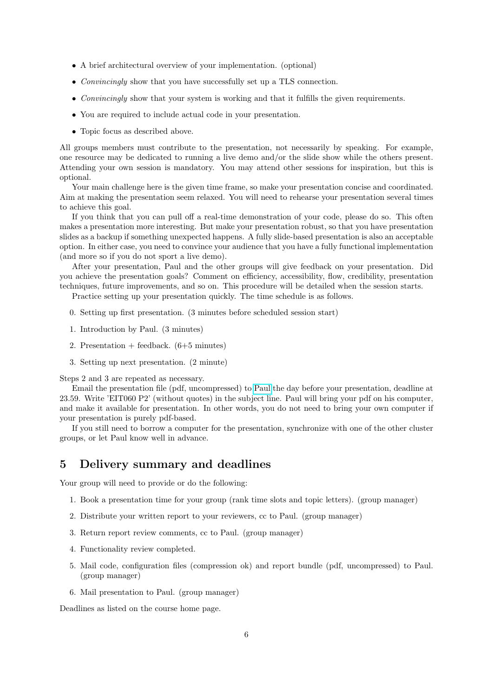- A brief architectural overview of your implementation. (optional)
- *Convincingly* show that you have successfully set up a TLS connection.
- Convincingly show that your system is working and that it fulfills the given requirements.
- You are required to include actual code in your presentation.
- Topic focus as described above.

All groups members must contribute to the presentation, not necessarily by speaking. For example, one resource may be dedicated to running a live demo and/or the slide show while the others present. Attending your own session is mandatory. You may attend other sessions for inspiration, but this is optional.

Your main challenge here is the given time frame, so make your presentation concise and coordinated. Aim at making the presentation seem relaxed. You will need to rehearse your presentation several times to achieve this goal.

If you think that you can pull off a real-time demonstration of your code, please do so. This often makes a presentation more interesting. But make your presentation robust, so that you have presentation slides as a backup if something unexpected happens. A fully slide-based presentation is also an acceptable option. In either case, you need to convince your audience that you have a fully functional implementation (and more so if you do not sport a live demo).

After your presentation, Paul and the other groups will give feedback on your presentation. Did you achieve the presentation goals? Comment on efficiency, accessibility, flow, credibility, presentation techniques, future improvements, and so on. This procedure will be detailed when the session starts.

Practice setting up your presentation quickly. The time schedule is as follows.

- 0. Setting up first presentation. (3 minutes before scheduled session start)
- 1. Introduction by Paul. (3 minutes)
- 2. Presentation  $+$  feedback.  $(6+5 \text{ minutes})$
- 3. Setting up next presentation. (2 minute)

Steps 2 and 3 are repeated as necessary.

Email the presentation file (pdf, uncompressed) to [Paul](mailto:paul@eit.lth.se) the day before your presentation, deadline at 23.59. Write 'EIT060 P2' (without quotes) in the subject line. Paul will bring your pdf on his computer, and make it available for presentation. In other words, you do not need to bring your own computer if your presentation is purely pdf-based.

If you still need to borrow a computer for the presentation, synchronize with one of the other cluster groups, or let Paul know well in advance.

# 5 Delivery summary and deadlines

Your group will need to provide or do the following:

- 1. Book a presentation time for your group (rank time slots and topic letters). (group manager)
- 2. Distribute your written report to your reviewers, cc to Paul. (group manager)
- 3. Return report review comments, cc to Paul. (group manager)
- 4. Functionality review completed.
- 5. Mail code, configuration files (compression ok) and report bundle (pdf, uncompressed) to Paul. (group manager)
- 6. Mail presentation to Paul. (group manager)

Deadlines as listed on the course home page.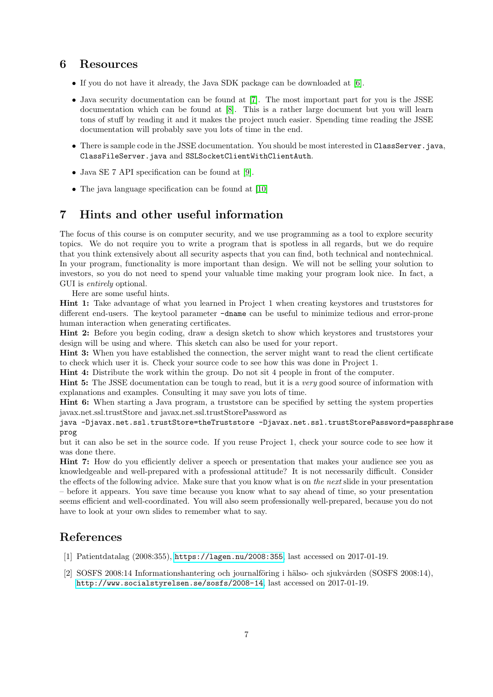# 6 Resources

- If you do not have it already, the Java SDK package can be downloaded at [\[6\]](#page-7-3).
- Java security documentation can be found at [\[7\]](#page-7-4). The most important part for you is the JSSE documentation which can be found at [\[8\]](#page-7-5). This is a rather large document but you will learn tons of stuff by reading it and it makes the project much easier. Spending time reading the JSSE documentation will probably save you lots of time in the end.
- There is sample code in the JSSE documentation. You should be most interested in ClassServer.java, ClassFileServer.java and SSLSocketClientWithClientAuth.
- Java SE 7 API specification can be found at [\[9\]](#page-7-6).
- The java language specification can be found at [\[10\]](#page-7-7)

# 7 Hints and other useful information

The focus of this course is on computer security, and we use programming as a tool to explore security topics. We do not require you to write a program that is spotless in all regards, but we do require that you think extensively about all security aspects that you can find, both technical and nontechnical. In your program, functionality is more important than design. We will not be selling your solution to investors, so you do not need to spend your valuable time making your program look nice. In fact, a GUI is entirely optional.

Here are some useful hints.

Hint 1: Take advantage of what you learned in Project 1 when creating keystores and truststores for different end-users. The keytool parameter -dname can be useful to minimize tedious and error-prone human interaction when generating certificates.

Hint 2: Before you begin coding, draw a design sketch to show which keystores and truststores your design will be using and where. This sketch can also be used for your report.

Hint 3: When you have established the connection, the server might want to read the client certificate to check which user it is. Check your source code to see how this was done in Project 1.

Hint 4: Distribute the work within the group. Do not sit 4 people in front of the computer.

**Hint 5:** The JSSE documentation can be tough to read, but it is a very good source of information with explanations and examples. Consulting it may save you lots of time.

Hint 6: When starting a Java program, a truststore can be specified by setting the system properties javax.net.ssl.trustStore and javax.net.ssl.trustStorePassword as

java -Djavax.net.ssl.trustStore=theTruststore -Djavax.net.ssl.trustStorePassword=passphrase prog

but it can also be set in the source code. If you reuse Project 1, check your source code to see how it was done there.

Hint 7: How do you efficiently deliver a speech or presentation that makes your audience see you as knowledgeable and well-prepared with a professional attitude? It is not necessarily difficult. Consider the effects of the following advice. Make sure that you know what is on the next slide in your presentation – before it appears. You save time because you know what to say ahead of time, so your presentation seems efficient and well-coordinated. You will also seem professionally well-prepared, because you do not have to look at your own slides to remember what to say.

# References

- <span id="page-6-0"></span>[1] Patientdatalag (2008:355), <https://lagen.nu/2008:355>, last accessed on 2017-01-19.
- <span id="page-6-1"></span>[2] SOSFS 2008:14 Informationshantering och journalföring i hälso- och sjukvården (SOSFS 2008:14), <http://www.socialstyrelsen.se/sosfs/2008-14>, last accessed on 2017-01-19.